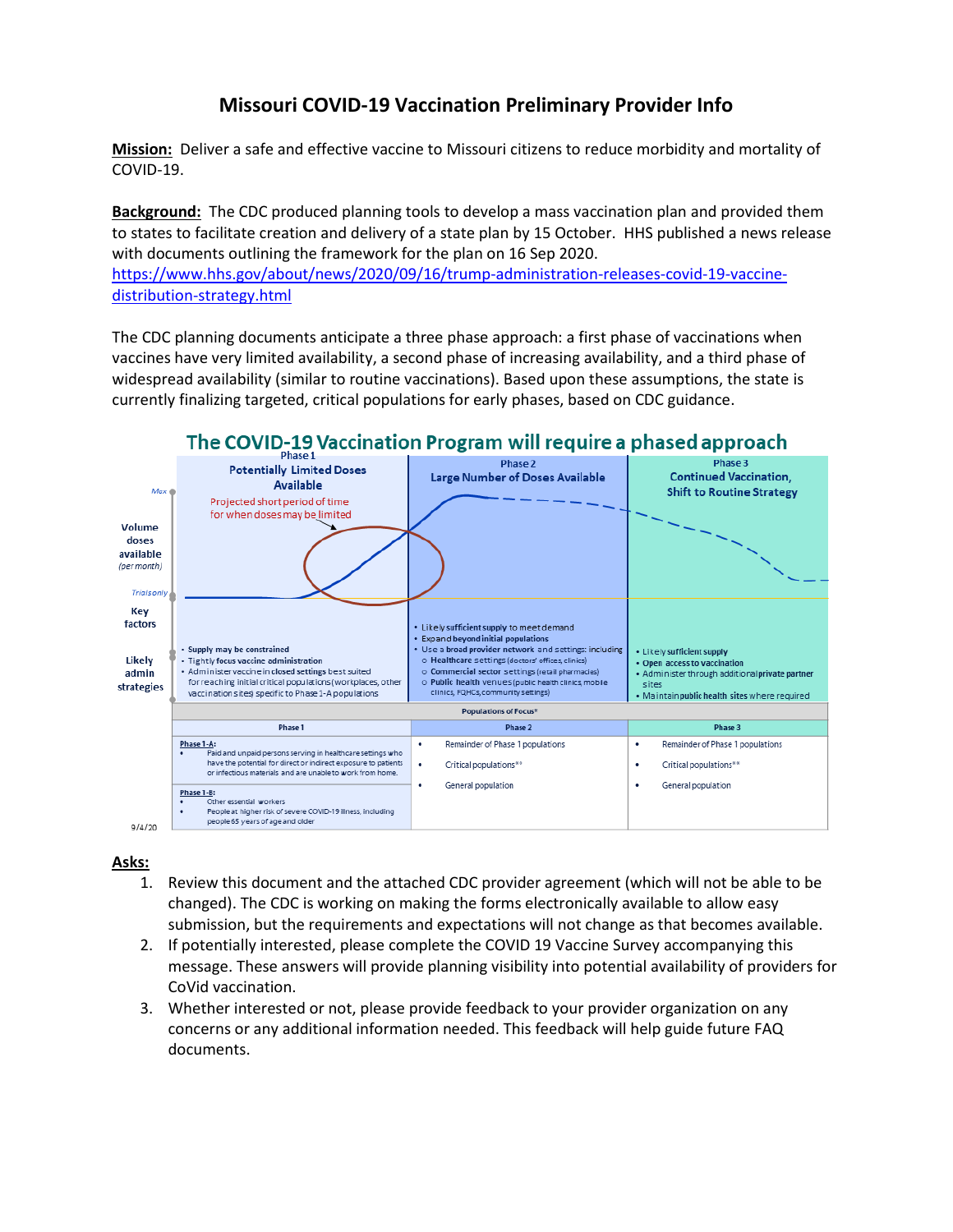## **Missouri COVID-19 Vaccination Preliminary Provider Info**

**Mission:** Deliver a safe and effective vaccine to Missouri citizens to reduce morbidity and mortality of COVID-19.

**Background:** The CDC produced planning tools to develop a mass vaccination plan and provided them to states to facilitate creation and delivery of a state plan by 15 October. HHS published a news release with documents outlining the framework for the plan on 16 Sep 2020.

[https://www.hhs.gov/about/news/2020/09/16/trump-administration-releases-covid-19-vaccine](https://www.hhs.gov/about/news/2020/09/16/trump-administration-releases-covid-19-vaccine-distribution-strategy.html)[distribution-strategy.html](https://www.hhs.gov/about/news/2020/09/16/trump-administration-releases-covid-19-vaccine-distribution-strategy.html)

The CDC planning documents anticipate a three phase approach: a first phase of vaccinations when vaccines have very limited availability, a second phase of increasing availability, and a third phase of widespread availability (similar to routine vaccinations). Based upon these assumptions, the state is currently finalizing targeted, critical populations for early phases, based on CDC guidance.



## **Asks:**

- 1. Review this document and the attached CDC provider agreement (which will not be able to be changed). The CDC is working on making the forms electronically available to allow easy submission, but the requirements and expectations will not change as that becomes available.
- 2. If potentially interested, please complete the COVID 19 Vaccine Survey accompanying this message. These answers will provide planning visibility into potential availability of providers for CoVid vaccination.
- 3. Whether interested or not, please provide feedback to your provider organization on any concerns or any additional information needed. This feedback will help guide future FAQ documents.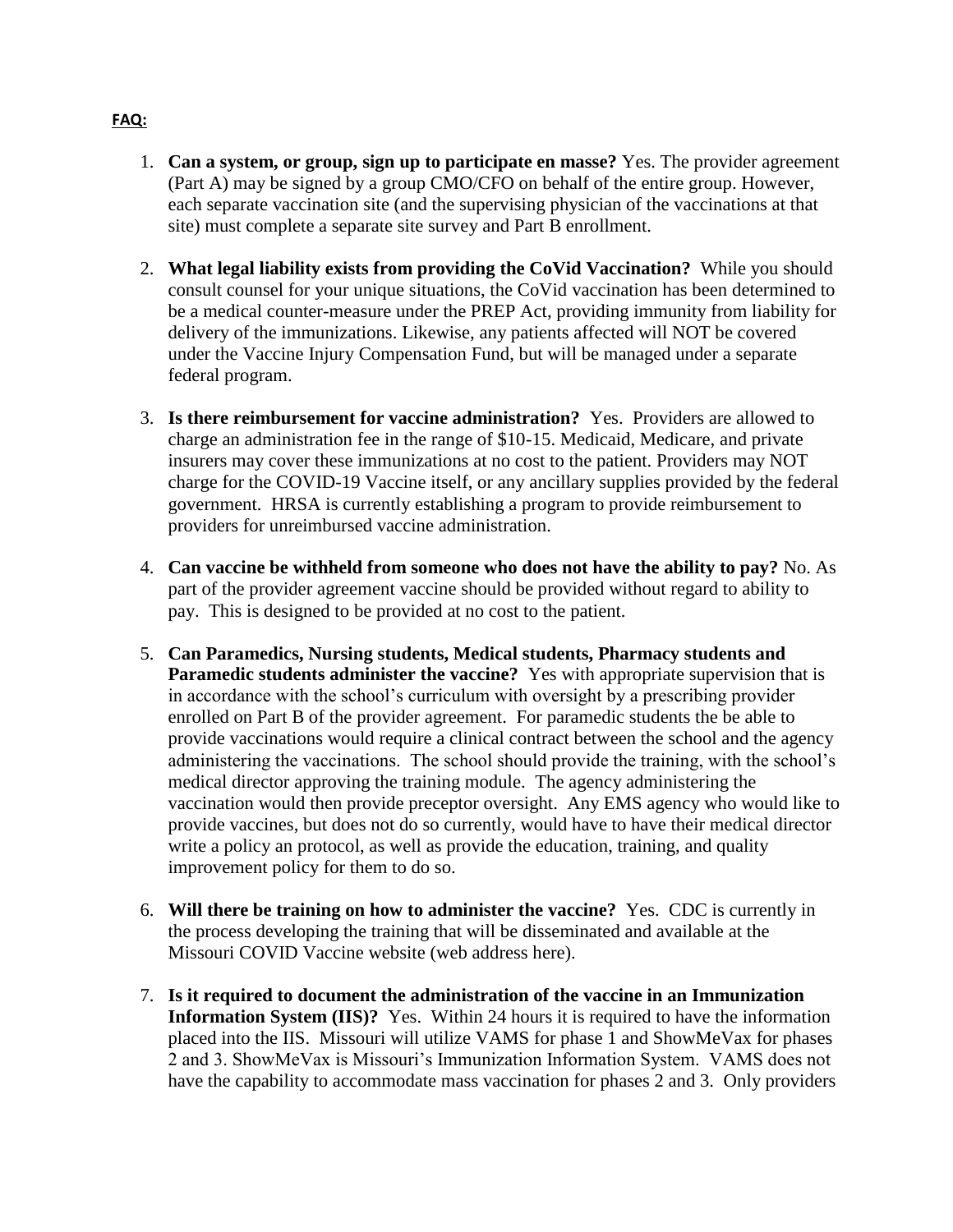- 1. **Can a system, or group, sign up to participate en masse?** Yes. The provider agreement (Part A) may be signed by a group CMO/CFO on behalf of the entire group. However, each separate vaccination site (and the supervising physician of the vaccinations at that site) must complete a separate site survey and Part B enrollment.
- 2. **What legal liability exists from providing the CoVid Vaccination?** While you should consult counsel for your unique situations, the CoVid vaccination has been determined to be a medical counter-measure under the PREP Act, providing immunity from liability for delivery of the immunizations. Likewise, any patients affected will NOT be covered under the Vaccine Injury Compensation Fund, but will be managed under a separate federal program.
- 3. **Is there reimbursement for vaccine administration?** Yes. Providers are allowed to charge an administration fee in the range of \$10-15. Medicaid, Medicare, and private insurers may cover these immunizations at no cost to the patient. Providers may NOT charge for the COVID-19 Vaccine itself, or any ancillary supplies provided by the federal government. HRSA is currently establishing a program to provide reimbursement to providers for unreimbursed vaccine administration.
- 4. **Can vaccine be withheld from someone who does not have the ability to pay?** No. As part of the provider agreement vaccine should be provided without regard to ability to pay. This is designed to be provided at no cost to the patient.
- 5. **Can Paramedics, Nursing students, Medical students, Pharmacy students and Paramedic students administer the vaccine?** Yes with appropriate supervision that is in accordance with the school's curriculum with oversight by a prescribing provider enrolled on Part B of the provider agreement. For paramedic students the be able to provide vaccinations would require a clinical contract between the school and the agency administering the vaccinations. The school should provide the training, with the school's medical director approving the training module. The agency administering the vaccination would then provide preceptor oversight. Any EMS agency who would like to provide vaccines, but does not do so currently, would have to have their medical director write a policy an protocol, as well as provide the education, training, and quality improvement policy for them to do so.
- 6. **Will there be training on how to administer the vaccine?** Yes. CDC is currently in the process developing the training that will be disseminated and available at the Missouri COVID Vaccine website (web address here).
- 7. **Is it required to document the administration of the vaccine in an Immunization Information System (IIS)?** Yes. Within 24 hours it is required to have the information placed into the IIS. Missouri will utilize VAMS for phase 1 and ShowMeVax for phases 2 and 3. ShowMeVax is Missouri's Immunization Information System. VAMS does not have the capability to accommodate mass vaccination for phases 2 and 3. Only providers

## **FAQ:**